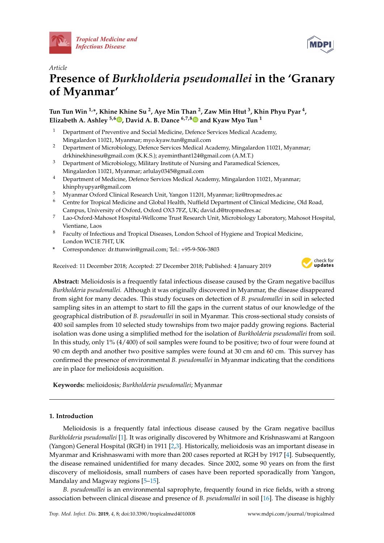



# *Article* **Presence of** *Burkholderia pseudomallei* **in the 'Granary of Myanmar'**

## **Tun Tun Win 1,\*, Khine Khine Su <sup>2</sup> , Aye Min Than <sup>2</sup> , Zaw Min Htut <sup>3</sup> , Khin Phyu Pyar <sup>4</sup> , Elizabeth A. Ashley**  $\frac{5,6}{\mathbb{D}}$  $\frac{5,6}{\mathbb{D}}$  $\frac{5,6}{\mathbb{D}}$ , David A. B. Dance  $\frac{6,7,8}{\mathbb{D}}$  $\frac{6,7,8}{\mathbb{D}}$  $\frac{6,7,8}{\mathbb{D}}$  and Kyaw Myo Tun<sup>1</sup>

- <sup>1</sup> Department of Preventive and Social Medicine, Defence Services Medical Academy, Mingalardon 11021, Myanmar; myo.kyaw.tun@gmail.com
- <sup>2</sup> Department of Microbiology, Defence Services Medical Academy, Mingalardon 11021, Myanmar; drkhinekhinesu@gmail.com (K.K.S.); ayeminthant124@gmail.com (A.M.T.)
- <sup>3</sup> Department of Microbiology, Military Institute of Nursing and Paramedical Sciences, Mingalardon 11021, Myanmar; arlulay0345@gmail.com
- <sup>4</sup> Department of Medicine, Defence Services Medical Academy, Mingalardon 11021, Myanmar; khinphyupyar@gmail.com
- <sup>5</sup> Myanmar Oxford Clinical Research Unit, Yangon 11201, Myanmar; liz@tropmedres.ac
- <sup>6</sup> Centre for Tropical Medicine and Global Health, Nuffield Department of Clinical Medicine, Old Road, Campus, University of Oxford, Oxford OX3 7FZ, UK; david.d@tropmedres.ac
- <sup>7</sup> Lao-Oxford-Mahosot Hospital-Wellcome Trust Research Unit, Microbiology Laboratory, Mahosot Hospital, Vientiane, Laos
- <sup>8</sup> Faculty of Infectious and Tropical Diseases, London School of Hygiene and Tropical Medicine, London WC1E 7HT, UK
- **\*** Correspondence: dr.ttunwin@gmail.com; Tel.: +95-9-506-3803

Received: 11 December 2018; Accepted: 27 December 2018; Published: 4 January 2019



**Abstract:** Melioidosis is a frequently fatal infectious disease caused by the Gram negative bacillus *Burkholderia pseudomallei.* Although it was originally discovered in Myanmar, the disease disappeared from sight for many decades. This study focuses on detection of *B. pseudomallei* in soil in selected sampling sites in an attempt to start to fill the gaps in the current status of our knowledge of the geographical distribution of *B. pseudomallei* in soil in Myanmar. This cross-sectional study consists of 400 soil samples from 10 selected study townships from two major paddy growing regions. Bacterial isolation was done using a simplified method for the isolation of *Burkholderia pseudomallei* from soil. In this study, only 1% (4/400) of soil samples were found to be positive; two of four were found at 90 cm depth and another two positive samples were found at 30 cm and 60 cm. This survey has confirmed the presence of environmental *B. pseudomallei* in Myanmar indicating that the conditions are in place for melioidosis acquisition.

**Keywords:** melioidosis; *Burkholderia pseudomallei*; Myanmar

## **1. Introduction**

Melioidosis is a frequently fatal infectious disease caused by the Gram negative bacillus *Burkholderia pseudomallei* [\[1\]](#page-7-0). It was originally discovered by Whitmore and Krishnaswami at Rangoon (Yangon) General Hospital (RGH) in 1911 [\[2,](#page-7-1)[3\]](#page-7-2). Historically, melioidosis was an important disease in Myanmar and Krishnaswami with more than 200 cases reported at RGH by 1917 [\[4\]](#page-7-3). Subsequently, the disease remained unidentified for many decades. Since 2002, some 90 years on from the first discovery of melioidosis, small numbers of cases have been reported sporadically from Yangon, Mandalay and Magway regions [\[5–](#page-7-4)[15\]](#page-8-0).

*B. pseudomallei* is an environmental saprophyte, frequently found in rice fields, with a strong association between clinical disease and presence of *B. pseudomallei* in soil [\[16\]](#page-8-1). The disease is highly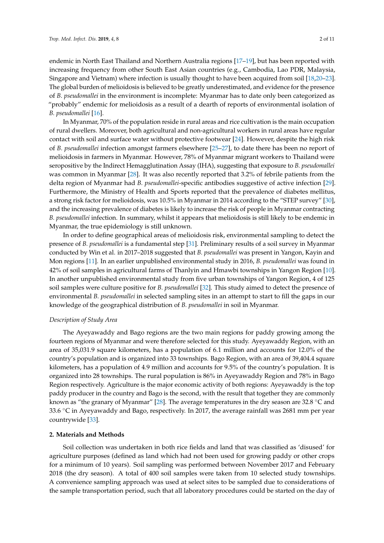endemic in North East Thailand and Northern Australia regions [\[17](#page-8-2)[–19\]](#page-8-3), but has been reported with increasing frequency from other South East Asian countries (e.g., Cambodia, Lao PDR, Malaysia, Singapore and Vietnam) where infection is usually thought to have been acquired from soil [\[18](#page-8-4)[,20–](#page-8-5)[23\]](#page-8-6). The global burden of melioidosis is believed to be greatly underestimated, and evidence for the presence of *B. pseudomallei* in the environment is incomplete: Myanmar has to date only been categorized as "probably" endemic for melioidosis as a result of a dearth of reports of environmental isolation of

*B. pseudomallei* [\[16\]](#page-8-1).

In Myanmar, 70% of the population reside in rural areas and rice cultivation is the main occupation of rural dwellers. Moreover, both agricultural and non-agricultural workers in rural areas have regular contact with soil and surface water without protective footwear [\[24\]](#page-8-7). However, despite the high risk of *B. pseudomallei* infection amongst farmers elsewhere [\[25–](#page-8-8)[27\]](#page-8-9), to date there has been no report of melioidosis in farmers in Myanmar. However, 78% of Myanmar migrant workers to Thailand were seropositive by the Indirect Hemagglutination Assay (IHA), suggesting that exposure to *B. pseudomallei* was common in Myanmar [\[28\]](#page-8-10). It was also recently reported that 3.2% of febrile patients from the delta region of Myanmar had *B. pseudomallei*-specific antibodies suggestive of active infection [\[29\]](#page-8-11). Furthermore, the Ministry of Health and Sports reported that the prevalence of diabetes mellitus, a strong risk factor for melioidosis, was 10.5% in Myanmar in 2014 according to the "STEP survey" [\[30\]](#page-8-12), and the increasing prevalence of diabetes is likely to increase the risk of people in Myanmar contracting *B. pseudomallei* infection. In summary, whilst it appears that melioidosis is still likely to be endemic in Myanmar, the true epidemiology is still unknown.

In order to define geographical areas of melioidosis risk, environmental sampling to detect the presence of *B. pseudomallei* is a fundamental step [\[31\]](#page-8-13). Preliminary results of a soil survey in Myanmar conducted by Win et al. in 2017–2018 suggested that *B. pseudomallei* was present in Yangon, Kayin and Mon regions [\[11\]](#page-7-5). In an earlier unpublished environmental study in 2016, *B. pseudomallei* was found in 42% of soil samples in agricultural farms of Thanlyin and Hmawbi townships in Yangon Region [\[10\]](#page-7-6). In another unpublished environmental study from five urban townships of Yangon Region, 4 of 125 soil samples were culture positive for *B. pseudomallei* [\[32\]](#page-8-14). This study aimed to detect the presence of environmental *B. pseudomallei* in selected sampling sites in an attempt to start to fill the gaps in our knowledge of the geographical distribution of *B. pseudomallei* in soil in Myanmar.

#### *Description of Study Area*

The Ayeyawaddy and Bago regions are the two main regions for paddy growing among the fourteen regions of Myanmar and were therefore selected for this study. Ayeyawaddy Region, with an area of 35,031.9 square kilometers, has a population of 6.1 million and accounts for 12.0% of the country's population and is organized into 33 townships. Bago Region, with an area of 39,404.4 square kilometers, has a population of 4.9 million and accounts for 9.5% of the country's population. It is organized into 28 townships. The rural population is 86% in Ayeyawaddy Region and 78% in Bago Region respectively. Agriculture is the major economic activity of both regions: Ayeyawaddy is the top paddy producer in the country and Bago is the second, with the result that together they are commonly known as "the granary of Myanmar" [\[28\]](#page-8-10). The average temperatures in the dry season are 32.8 ◦C and 33.6  $\degree$ C in Ayeyawaddy and Bago, respectively. In 2017, the average rainfall was 2681 mm per year countrywide [\[33\]](#page-9-0).

#### **2. Materials and Methods**

Soil collection was undertaken in both rice fields and land that was classified as 'disused' for agriculture purposes (defined as land which had not been used for growing paddy or other crops for a minimum of 10 years). Soil sampling was performed between November 2017 and February 2018 (the dry season). A total of 400 soil samples were taken from 10 selected study townships. A convenience sampling approach was used at select sites to be sampled due to considerations of the sample transportation period, such that all laboratory procedures could be started on the day of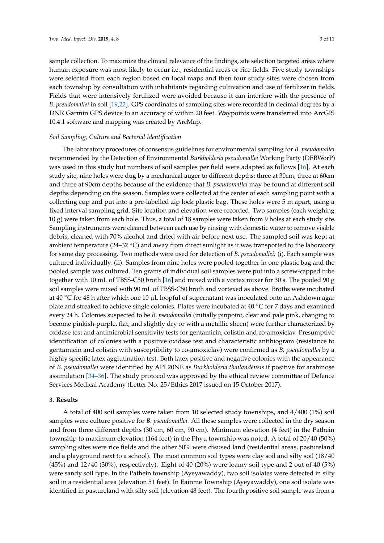sample collection. To maximize the clinical relevance of the findings, site selection targeted areas where human exposure was most likely to occur i.e., residential areas or rice fields. Five study townships were selected from each region based on local maps and then four study sites were chosen from each township by consultation with inhabitants regarding cultivation and use of fertilizer in fields. Fields that were intensively fertilized were avoided because it can interfere with the presence of *B. pseudomallei* in soil [\[19,](#page-8-3)[22\]](#page-8-15). GPS coordinates of sampling sites were recorded in decimal degrees by a DNR Garmin GPS device to an accuracy of within 20 feet. Waypoints were transferred into ArcGIS 10.4.1 software and mapping was created by ArcMap.

## *Soil Sampling, Culture and Bacterial Identification*

The laboratory procedures of consensus guidelines for environmental sampling for *B. pseudomallei* recommended by the Detection of Environmental *Burkholderia pseudomallei* Working Party (DEBWorP) was used in this study but numbers of soil samples per field were adapted as follows [\[16\]](#page-8-1). At each study site, nine holes were dug by a mechanical auger to different depths; three at 30cm, three at 60cm and three at 90cm depths because of the evidence that *B. pseudomallei* may be found at different soil depths depending on the season. Samples were collected at the center of each sampling point with a collecting cup and put into a pre-labelled zip lock plastic bag. These holes were 5 m apart, using a fixed interval sampling grid. Site location and elevation were recorded. Two samples (each weighing 10 g) were taken from each hole. Thus, a total of 18 samples were taken from 9 holes at each study site. Sampling instruments were cleaned between each use by rinsing with domestic water to remove visible debris, cleaned with 70% alcohol and dried with air before next use. The sampled soil was kept at ambient temperature (24–32  $\degree$ C) and away from direct sunlight as it was transported to the laboratory for same day processing. Two methods were used for detection of *B. pseudomallei:* (i). Each sample was cultured individually. (ii). Samples from nine holes were pooled together in one plastic bag and the pooled sample was cultured. Ten grams of individual soil samples were put into a screw-capped tube together with 10 mL of TBSS-C50 broth [\[16\]](#page-8-1) and mixed with a vortex mixer for 30 s. The pooled 90 g soil samples were mixed with 90 mL of TBSS-C50 broth and vortexed as above. Broths were incubated at 40  $\degree$ C for 48 h after which one 10 µL loopful of supernatant was inoculated onto an Ashdown agar plate and streaked to achieve single colonies. Plates were incubated at 40 ◦C for 7 days and examined every 24 h. Colonies suspected to be *B. pseudomallei* (initially pinpoint, clear and pale pink, changing to become pinkish-purple, flat, and slightly dry or with a metallic sheen) were further characterized by oxidase test and antimicrobial sensitivity tests for gentamicin, colistin and co-amoxiclav. Presumptive identification of colonies with a positive oxidase test and characteristic antibiogram (resistance to gentamicin and colistin with susceptibility to co-amoxiclav) were confirmed as *B. pseudomallei* by a highly specific latex agglutination test. Both latex positive and negative colonies with the appearance of *B. pseudomallei* were identified by API 20NE as *Burkholderia thailandensis* if positive for arabinose assimilation [\[34–](#page-9-1)[36\]](#page-9-2). The study protocol was approved by the ethical review committee of Defence Services Medical Academy (Letter No. 25/Ethics 2017 issued on 15 October 2017).

#### **3. Results**

A total of 400 soil samples were taken from 10 selected study townships, and 4/400 (1%) soil samples were culture positive for *B. pseudomallei.* All these samples were collected in the dry season and from three different depths (30 cm, 60 cm, 90 cm). Minimum elevation (4 feet) in the Pathein township to maximum elevation (164 feet) in the Phyu township was noted. A total of 20/40 (50%) sampling sites were rice fields and the other 50% were disused land (residential areas, pastureland and a playground next to a school). The most common soil types were clay soil and silty soil (18/40 (45%) and 12/40 (30%), respectively). Eight of 40 (20%) were loamy soil type and 2 out of 40 (5%) were sandy soil type. In the Pathein township (Ayeyawaddy), two soil isolates were detected in silty soil in a residential area (elevation 51 feet). In Eainme Township (Ayeyawaddy), one soil isolate was identified in pastureland with silty soil (elevation 48 feet). The fourth positive soil sample was from a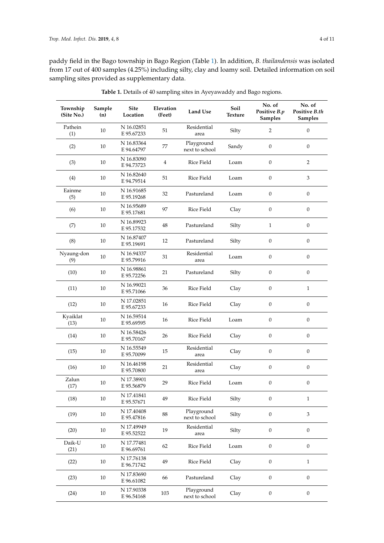paddy field in the Bago township in Bago Region (Table [1\)](#page-4-0). In addition, *B. thailandensis* was isolated from 17 out of 400 samples (4.25%) including silty, clay and loamy soil. Detailed information on soil sampling sites provided as supplementary data.

| Township<br>(Site No.) | Sample<br>(n) | <b>Site</b><br>Location  | Elevation<br>(Feet) | <b>Land Use</b>              | Soil<br>Texture | No. of<br>Positive B.p<br>Samples | No. of<br>Positive B.th<br><b>Samples</b> |
|------------------------|---------------|--------------------------|---------------------|------------------------------|-----------------|-----------------------------------|-------------------------------------------|
| Pathein<br>(1)         | 10            | N 16.02851<br>E 95.67233 | 51                  | Residential<br>area          | Silty           | $\overline{2}$                    | $\boldsymbol{0}$                          |
| (2)                    | 10            | N 16.83364<br>E 94.64797 | 77                  | Playground<br>next to school | Sandy           | $\boldsymbol{0}$                  | $\boldsymbol{0}$                          |
| (3)                    | 10            | N 16.83090<br>E 94.73723 | 4                   | Rice Field                   | Loam            | $\boldsymbol{0}$                  | $\sqrt{2}$                                |
| (4)                    | 10            | N 16.82640<br>E 94.79514 | 51                  | Rice Field                   | Loam            | $\mathbf{0}$                      | 3                                         |
| Eainme<br>(5)          | 10            | N 16.91685<br>E 95.19268 | 32                  | Pastureland                  | Loam            | $\mathbf{0}$                      | $\boldsymbol{0}$                          |
| (6)                    | 10            | N 16.95689<br>E 95.17681 | 97                  | Rice Field                   | Clay            | $\boldsymbol{0}$                  | $\boldsymbol{0}$                          |
| (7)                    | 10            | N 16.89923<br>E 95.17532 | 48                  | Pastureland                  | Silty           | $\mathbf{1}$                      | $\boldsymbol{0}$                          |
| (8)                    | 10            | N 16.87407<br>E 95.19691 | 12                  | Pastureland                  | Silty           | $\boldsymbol{0}$                  | $\boldsymbol{0}$                          |
| Nyaung-don<br>(9)      | 10            | N 16.94337<br>E 95.79916 | 31                  | Residential<br>area          | Loam            | $\boldsymbol{0}$                  | $\boldsymbol{0}$                          |
| (10)                   | 10            | N 16.98861<br>E 95.72256 | 21                  | Pastureland                  | Silty           | $\boldsymbol{0}$                  | $\boldsymbol{0}$                          |
| (11)                   | 10            | N 16.99021<br>E 95.71066 | 36                  | Rice Field                   | Clay            | $\boldsymbol{0}$                  | $\mathbf{1}$                              |
| (12)                   | 10            | N 17.02851<br>E 95.67233 | 16                  | Rice Field                   | Clay            | $\boldsymbol{0}$                  | $\boldsymbol{0}$                          |
| Kyaiklat<br>(13)       | 10            | N 16.59514<br>E 95.69595 | 16                  | Rice Field                   | Loam            | $\boldsymbol{0}$                  | $\boldsymbol{0}$                          |
| (14)                   | 10            | N 16.58426<br>E 95.70167 | 26                  | Rice Field                   | Clay            | $\boldsymbol{0}$                  | $\boldsymbol{0}$                          |
| (15)                   | 10            | N 16.55549<br>E 95.70099 | 15                  | Residential<br>area          | Clay            | $\boldsymbol{0}$                  | $\boldsymbol{0}$                          |
| (16)                   | 10            | N 16.46198<br>E 95.70800 | 21                  | Residential<br>area          | Clay            | $\boldsymbol{0}$                  | $\boldsymbol{0}$                          |
| Zalun<br>(17)          | 10            | N 17.38901<br>E 95.56879 | 29                  | Rice Field                   | Loam            | $\boldsymbol{0}$                  | $\boldsymbol{0}$                          |
| (18)                   | $10\,$        | N 17.41841<br>E 95.57671 | 49                  | Rice Field                   | Silty           | $\mathbf{0}$                      | $\mathbf{1}$                              |
| (19)                   | $10\,$        | N 17.40408<br>E 95.47816 | 88                  | Playground<br>next to school | Silty           | $\boldsymbol{0}$                  | $\ensuremath{\mathsf{3}}$                 |
| (20)                   | 10            | N 17.49949<br>E 95.52522 | 19                  | Residential<br>area          | Silty           | $\boldsymbol{0}$                  | $\boldsymbol{0}$                          |
| Daik-U<br>(21)         | 10            | N 17.77481<br>E 96.69761 | 62                  | Rice Field                   | Loam            | $\mathbf{0}$                      | $\boldsymbol{0}$                          |
| (22)                   | 10            | N 17.76138<br>E 96.71742 | 49                  | Rice Field                   | Clay            | $\boldsymbol{0}$                  | $1\,$                                     |
| (23)                   | 10            | N 17.83690<br>E 96.61082 | 66                  | Pastureland                  | Clay            | $\boldsymbol{0}$                  | $\boldsymbol{0}$                          |
| (24)                   | 10            | N 17.90338<br>E 96.54168 | 103                 | Playground<br>next to school | Clay            | $\boldsymbol{0}$                  | $\boldsymbol{0}$                          |

**Table 1.** Details of 40 sampling sites in Ayeyawaddy and Bago regions.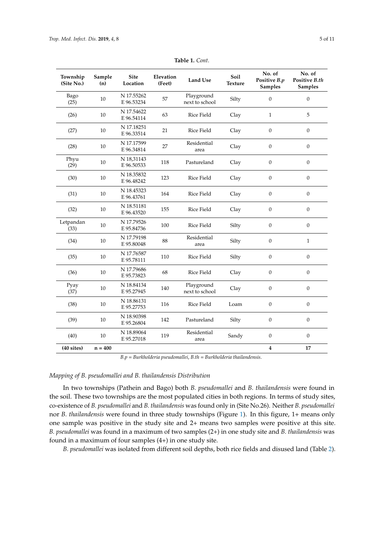<span id="page-4-0"></span>

| Township<br>(Site No.) | Sample<br>(n) | <b>Site</b><br>Location  | Elevation<br>(Feet) | Land Use                     | Soil<br><b>Texture</b> | No. of<br>Positive B.p<br><b>Samples</b> | No. of<br>Positive B.th<br>Samples |
|------------------------|---------------|--------------------------|---------------------|------------------------------|------------------------|------------------------------------------|------------------------------------|
| Bago<br>(25)           | 10            | N 17.55262<br>E 96.53234 | 57                  | Playground<br>next to school | Silty                  | $\overline{0}$                           | $\boldsymbol{0}$                   |
| (26)                   | 10            | N 17.54622<br>E 96.54114 | 63                  | Rice Field                   | Clay                   | $\mathbf{1}$                             | 5                                  |
| (27)                   | 10            | N 17.18251<br>E 96.33514 | 21                  | <b>Rice Field</b>            | Clay                   | $\overline{0}$                           | $\boldsymbol{0}$                   |
| (28)                   | 10            | N 17.17599<br>E 96.34814 | 27                  | Residential<br>area          | Clay                   | $\mathbf{0}$                             | $\mathbf{0}$                       |
| Phyu<br>(29)           | $10\,$        | N 18,31143<br>E 96.50533 | 118                 | Pastureland                  | Clay                   | $\mathbf{0}$                             | $\boldsymbol{0}$                   |
| (30)                   | 10            | N 18.35832<br>E 96.48242 | 123                 | Rice Field                   | Clay                   | $\mathbf{0}$                             | $\boldsymbol{0}$                   |
| (31)                   | 10            | N 18.45323<br>E 96.43761 | 164                 | Rice Field                   | Clay                   | $\mathbf{0}$                             | $\overline{0}$                     |
| (32)                   | 10            | N 18.51181<br>E 96.43520 | 155                 | Rice Field                   | Clay                   | $\mathbf{0}$                             | $\boldsymbol{0}$                   |
| Letpandan<br>(33)      | 10            | N 17.79526<br>E 95.84736 | 100                 | Rice Field                   | Silty                  | $\boldsymbol{0}$                         | $\boldsymbol{0}$                   |
| (34)                   | 10            | N 17.79198<br>E 95.80048 | 88                  | Residential<br>area          | Silty                  | $\mathbf{0}$                             | $\mathbf{1}$                       |
| (35)                   | 10            | N 17.76587<br>E 95.78111 | 110                 | <b>Rice Field</b>            | Silty                  | $\boldsymbol{0}$                         | $\boldsymbol{0}$                   |
| (36)                   | 10            | N 17.79686<br>E 95.73823 | 68                  | Rice Field                   | Clay                   | $\mathbf{0}$                             | $\boldsymbol{0}$                   |
| Pyay<br>(37)           | 10            | N 18.84134<br>E 95.27945 | 140                 | Playground<br>next to school | Clay                   | $\boldsymbol{0}$                         | $\boldsymbol{0}$                   |
| (38)                   | 10            | N 18.86131<br>E 95.27753 | 116                 | Rice Field                   | Loam                   | $\mathbf{0}$                             | $\boldsymbol{0}$                   |
| (39)                   | 10            | N 18.90398<br>E 95.26804 | 142                 | Pastureland                  | Silty                  | $\mathbf{0}$                             | $\boldsymbol{0}$                   |
| (40)                   | 10            | N 18.89064<br>E 95.27018 | 119                 | Residential<br>area          | Sandy                  | $\Omega$                                 | $\mathbf{0}$                       |
| $(40$ sites)           | $n = 400$     |                          |                     |                              |                        | $\overline{\mathbf{4}}$                  | 17                                 |

**Table 1.** *Cont*.

*B.p* = *Burkholderia pseudomallei*, *B.th* = *Burkholderia thailandensis*.

#### *Mapping of B. pseudomallei and B. thailandensis Distribution*

In two townships (Pathein and Bago) both *B. pseudomallei* and *B. thailandensis* were found in the soil. These two townships are the most populated cities in both regions. In terms of study sites, co-existence of *B. pseudomallei* and *B. thailandensis* was found only in (Site No.26). Neither *B. pseudomallei* nor *B. thailandensis* were found in three study townships (Figure [1\)](#page-5-0). In this figure, 1+ means only one sample was positive in the study site and 2+ means two samples were positive at this site. *B. pseudomallei* was found in a maximum of two samples (2+) in one study site and *B. thailandensis* was found in a maximum of four samples (4+) in one study site.

*B. pseudomallei* was isolated from different soil depths, both rice fields and disused land (Table [2\)](#page-5-1).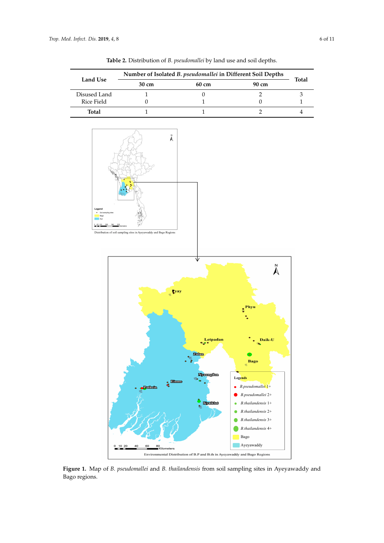<span id="page-5-1"></span><span id="page-5-0"></span>

**Table 2.** Distribution of *B. pseudomallei* by land use and soil depths.

Figure 1. Map of *B. pseudomallei* and *B. thailandensis* from soil sampling sites in Ayeyawaddy and<br>P Bago regions.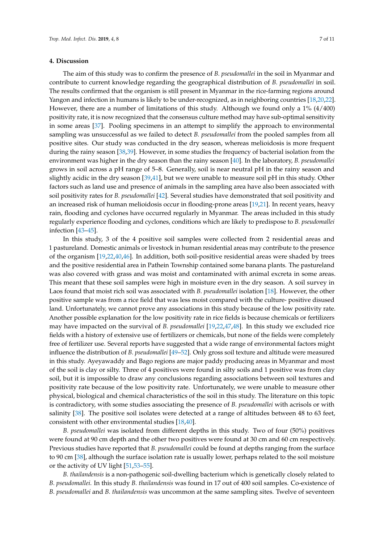#### **4. Discussion**

The aim of this study was to confirm the presence of *B. pseudomallei* in the soil in Myanmar and contribute to current knowledge regarding the geographical distribution of *B. pseudomallei* in soil. The results confirmed that the organism is still present in Myanmar in the rice-farming regions around Yangon and infection in humans is likely to be under-recognized, as in neighboring countries [\[18](#page-8-4)[,20](#page-8-5)[,22\]](#page-8-15). However, there are a number of limitations of this study. Although we found only a 1% (4/400) positivity rate, it is now recognized that the consensus culture method may have sub-optimal sensitivity in some areas [\[37\]](#page-9-3). Pooling specimens in an attempt to simplify the approach to environmental sampling was unsuccessful as we failed to detect *B. pseudomallei* from the pooled samples from all positive sites. Our study was conducted in the dry season, whereas melioidosis is more frequent during the rainy season [\[38,](#page-9-4)[39\]](#page-9-5). However, in some studies the frequency of bacterial isolation from the environment was higher in the dry season than the rainy season [\[40\]](#page-9-6). In the laboratory, *B. pseudomallei* grows in soil across a pH range of 5–8. Generally, soil is near neutral pH in the rainy season and slightly acidic in the dry season [\[39](#page-9-5)[,41\]](#page-9-7), but we were unable to measure soil pH in this study. Other factors such as land use and presence of animals in the sampling area have also been associated with soil positivity rates for *B. pseudomallei* [\[42\]](#page-9-8). Several studies have demonstrated that soil positivity and an increased risk of human melioidosis occur in flooding-prone areas [\[19](#page-8-3)[,21\]](#page-8-16). In recent years, heavy rain, flooding and cyclones have occurred regularly in Myanmar. The areas included in this study regularly experience flooding and cyclones, conditions which are likely to predispose to *B. pseudomallei* infection [\[43–](#page-9-9)[45\]](#page-9-10).

In this study, 3 of the 4 positive soil samples were collected from 2 residential areas and 1 pastureland. Domestic animals or livestock in human residential areas may contribute to the presence of the organism [\[19](#page-8-3)[,22,](#page-8-15)[40](#page-9-6)[,46\]](#page-9-11). In addition, both soil-positive residential areas were shaded by trees and the positive residential area in Pathein Township contained some banana plants. The pastureland was also covered with grass and was moist and contaminated with animal excreta in some areas. This meant that these soil samples were high in moisture even in the dry season. A soil survey in Laos found that moist rich soil was associated with *B. pseudomallei* isolation [\[18\]](#page-8-4). However, the other positive sample was from a rice field that was less moist compared with the culture- positive disused land. Unfortunately, we cannot prove any associations in this study because of the low positivity rate. Another possible explanation for the low positivity rate in rice fields is because chemicals or fertilizers may have impacted on the survival of *B. pseudomallei* [\[19,](#page-8-3)[22,](#page-8-15)[47,](#page-9-12)[48\]](#page-9-13). In this study we excluded rice fields with a history of extensive use of fertilizers or chemicals, but none of the fields were completely free of fertilizer use. Several reports have suggested that a wide range of environmental factors might influence the distribution of *B. pseudomallei* [\[49–](#page-9-14)[52\]](#page-10-0). Only gross soil texture and altitude were measured in this study. Ayeyawaddy and Bago regions are major paddy producing areas in Myanmar and most of the soil is clay or silty. Three of 4 positives were found in silty soils and 1 positive was from clay soil, but it is impossible to draw any conclusions regarding associations between soil textures and positivity rate because of the low positivity rate. Unfortunately, we were unable to measure other physical, biological and chemical characteristics of the soil in this study. The literature on this topic is contradictory, with some studies associating the presence of *B. pseudomallei* with acrisols or with salinity [\[38\]](#page-9-4). The positive soil isolates were detected at a range of altitudes between 48 to 63 feet, consistent with other environmental studies [\[18](#page-8-4)[,40\]](#page-9-6).

*B. pseudomallei* was isolated from different depths in this study. Two of four (50%) positives were found at 90 cm depth and the other two positives were found at 30 cm and 60 cm respectively. Previous studies have reported that *B. pseudomallei* could be found at depths ranging from the surface to 90 cm [\[38\]](#page-9-4), although the surface isolation rate is usually lower, perhaps related to the soil moisture or the activity of UV light [\[51](#page-10-1)[,53](#page-10-2)[–55\]](#page-10-3).

*B. thailandensis* is a non-pathogenic soil-dwelling bacterium which is genetically closely related to *B. pseudomallei.* In this study *B. thailandensis* was found in 17 out of 400 soil samples. Co-existence of *B. pseudomallei* and *B. thailandensis* was uncommon at the same sampling sites. Twelve of seventeen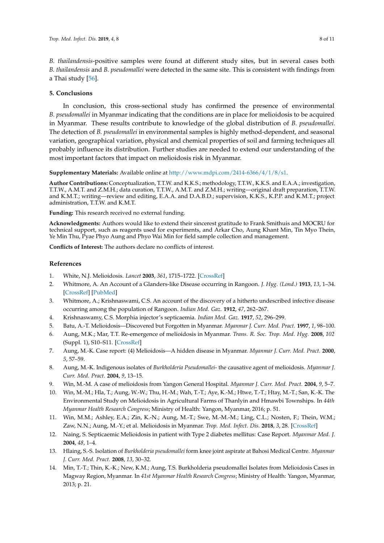*B. thailandensis*-positive samples were found at different study sites, but in several cases both *B. thailandensis* and *B. pseudomallei* were detected in the same site. This is consistent with findings from a Thai study [\[56\]](#page-10-4).

## **5. Conclusions**

In conclusion, this cross-sectional study has confirmed the presence of environmental *B. pseudomallei* in Myanmar indicating that the conditions are in place for melioidosis to be acquired in Myanmar. These results contribute to knowledge of the global distribution of *B. pseudomallei.* The detection of *B. pseudomallei* in environmental samples is highly method-dependent, and seasonal variation, geographical variation, physical and chemical properties of soil and farming techniques all probably influence its distribution. Further studies are needed to extend our understanding of the most important factors that impact on melioidosis risk in Myanmar.

### **Supplementary Materials:** Available online at [http://www.mdpi.com/2414-6366/4/1/8/s1.](http://www.mdpi.com/2414-6366/4/1/8/s1)

**Author Contributions:** Conceptualization, T.T.W. and K.K.S.; methodology, T.T.W., K.K.S. and E.A.A.; investigation, T.T.W., A.M.T. and Z.M.H.; data curation, T.T.W., A.M.T. and Z.M.H.; writing—original draft preparation, T.T.W. and K.M.T.; writing—review and editing, E.A.A. and D.A.B.D.; supervision, K.K.S., K.P.P. and K.M.T.; project administration, T.T.W. and K.M.T.

**Funding:** This research received no external funding.

**Acknowledgments:** Authors would like to extend their sincerest gratitude to Frank Smithuis and MOCRU for technical support, such as reagents used for experiments, and Arkar Cho, Aung Khant Min, Tin Myo Thein, Ye Min Thu, Pyae Phyo Aung and Phyo Wai Min for field sample collection and management.

**Conflicts of Interest:** The authors declare no conflicts of interest.

## **References**

- <span id="page-7-0"></span>1. White, N.J. Melioidosis. *Lancet* **2003**, *361*, 1715–1722. [\[CrossRef\]](http://dx.doi.org/10.1016/S0140-6736(03)13374-0)
- <span id="page-7-1"></span>2. Whitmore, A. An Account of a Glanders-like Disease occurring in Rangoon. *J. Hyg. (Lond.)* **1913**, *13*, 1–34. [\[CrossRef\]](http://dx.doi.org/10.1017/S0022172400005234) [\[PubMed\]](http://www.ncbi.nlm.nih.gov/pubmed/20474526)
- <span id="page-7-2"></span>3. Whitmore, A.; Krishnaswami, C.S. An account of the discovery of a hitherto undescribed infective disease occurring among the population of Rangoon. *Indian Med. Gaz.* **1912**, *47*, 262–267.
- <span id="page-7-3"></span>4. Krishnaswamy, C.S. Morphia injector's septicaemia. *Indian Med. Gaz.* **1917**, *52*, 296–299.
- <span id="page-7-4"></span>5. Batu, A.-T. Melioidosis—Discovered but Forgotten in Myanmar. *Myanmar J. Curr. Med. Pract.* **1997**, *1*, 98–100.
- 6. Aung, M.K.; Mar, T.T. Re-emergence of melioidosis in Myanmar. *Trans. R. Soc. Trop. Med. Hyg.* **2008**, *102* (Suppl. 1), S10–S11. [\[CrossRef\]](http://dx.doi.org/10.1016/S0035-9203(08)70004-X)
- 7. Aung, M.-K. Case report: (4) Melioidosis—A hidden disease in Myanmar. *Myanmar J. Curr. Med. Pract.* **2000**, *5*, 57–59.
- 8. Aung, M.-K. Indigenous isolates of *Burkholderia Pseudomallei* the causative agent of melioidosis. *Myanmar J. Curr. Med. Pract.* **2004**, *9*, 13–15.
- 9. Win, M.-M. A case of melioidosis from Yangon General Hospital. *Myanmar J. Curr. Med. Pract.* **2004**, *9*, 5–7.
- <span id="page-7-6"></span>10. Win, M.-M.; Hla, T.; Aung, W.-W.; Thu, H.-M.; Wah, T.-T.; Aye, K.-M.; Htwe, T.-T.; Htay, M.-T.; San, K.-K. The Environmental Study on Melioidosis in Agricultural Farms of Thanlyin and Hmawbi Townships. In *44th Myanmar Health Research Congress*; Ministry of Health: Yangon, Myanmar, 2016; p. 51.
- <span id="page-7-5"></span>11. Win, M.M.; Ashley, E.A.; Zin, K.-N.; Aung, M.-T.; Swe, M.-M.-M.; Ling, C.L.; Nosten, F.; Thein, W.M.; Zaw, N.N.; Aung, M.-Y.; et al. Melioidosis in Myanmar. *Trop. Med. Infect. Dis.* **2018**, *3*, 28. [\[CrossRef\]](http://dx.doi.org/10.3390/tropicalmed3010028)
- 12. Naing, S. Septicaemic Melioidosis in patient with Type 2 diabetes mellitus: Case Report. *Myanmar Med. J.* **2004**, *48*, 1–4.
- 13. Hlaing, S.-S. Isolation of *Burkholderia pseudomallei* form knee joint aspirate at Bahosi Medical Centre. *Myanmar J. Curr. Med. Pract.* **2008**, *13*, 30–32.
- 14. Min, T.-T.; Thin, K.-K.; New, K.M.; Aung, T.S. Burkholderia pseudomallei Isolates from Melioidosis Cases in Magway Region, Myanmar. In *41st Myanmar Health Research Congress*; Ministry of Health: Yangon, Myanmar, 2013; p. 21.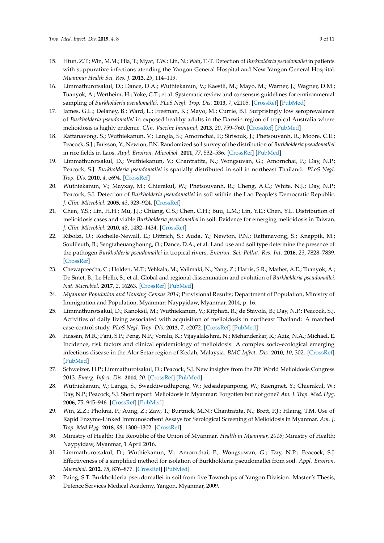- <span id="page-8-0"></span>15. Htun, Z.T.; Win, M.M.; Hla, T.; Myat, T.W.; Lin, N.; Wah, T.-T. Detection of *Burkholderia pseudomallei* in patients with suppurative infections atending the Yangon General Hospital and New Yangon General Hospital. *Myanmar Health Sci. Res. J.* **2013**, *25*, 114–119.
- <span id="page-8-1"></span>16. Limmathurotsakul, D.; Dance, D.A.; Wuthiekanun, V.; Kaestli, M.; Mayo, M.; Warner, J.; Wagner, D.M.; Tuanyok, A.; Wertheim, H.; Yoke, C.T.; et al. Systematic review and consensus guidelines for environmental sampling of *Burkholderia pseudomallei*. *PLoS Negl. Trop. Dis.* **2013**, *7*, e2105. [\[CrossRef\]](http://dx.doi.org/10.1371/journal.pntd.0002105) [\[PubMed\]](http://www.ncbi.nlm.nih.gov/pubmed/23556010)
- <span id="page-8-2"></span>17. James, G.L.; Delaney, B.; Ward, L.; Freeman, K.; Mayo, M.; Currie, B.J. Surprisingly low seroprevalence of *Burkholderia pseudomallei* in exposed healthy adults in the Darwin region of tropical Australia where melioidosis is highly endemic. *Clin. Vaccine Immunol.* **2013**, *20*, 759–760. [\[CrossRef\]](http://dx.doi.org/10.1128/CVI.00021-13) [\[PubMed\]](http://www.ncbi.nlm.nih.gov/pubmed/23536689)
- <span id="page-8-4"></span>18. Rattanavong, S.; Wuthiekanun, V.; Langla, S.; Amornchai, P.; Sirisouk, J.; Phetsouvanh, R.; Moore, C.E.; Peacock, S.J.; Buisson, Y.; Newton, P.N. Randomized soil survey of the distribution of *Burkholderia pseudomallei* in rice fields in Laos. *Appl. Environ. Microbiol.* **2011**, *77*, 532–536. [\[CrossRef\]](http://dx.doi.org/10.1128/AEM.01822-10) [\[PubMed\]](http://www.ncbi.nlm.nih.gov/pubmed/21075883)
- <span id="page-8-3"></span>19. Limmathurotsakul, D.; Wuthiekanun, V.; Chantratita, N.; Wongsuvan, G.; Amornchai, P.; Day, N.P.; Peacock, S.J. *Burkholderia pseudomallei* is spatially distributed in soil in northeast Thailand. *PLoS Negl. Trop. Dis.* **2010**, *4*, e694. [\[CrossRef\]](http://dx.doi.org/10.1371/journal.pntd.0000694)
- <span id="page-8-5"></span>20. Wuthiekanun, V.; Mayxay, M.; Chierakul, W.; Phetsouvanh, R.; Cheng, A.C.; White, N.J.; Day, N.P.; Peacock, S.J. Detection of *Burkholderia pseudomallei* in soil within the Lao People's Democratic Republic. *J. Clin. Microbiol.* **2005**, *43*, 923–924. [\[CrossRef\]](http://dx.doi.org/10.1128/JCM.43.2.923-924.2005)
- <span id="page-8-16"></span>21. Chen, Y.S.; Lin, H.H.; Mu, J.J.; Chiang, C.S.; Chen, C.H.; Buu, L.M.; Lin, Y.E.; Chen, Y.L. Distribution of melioidosis cases and viable *Burkholderia pseudomallei* in soil: Evidence for emerging melioidosis in Taiwan. *J. Clin. Microbiol.* **2010**, *48*, 1432–1434. [\[CrossRef\]](http://dx.doi.org/10.1128/JCM.01720-09)
- <span id="page-8-15"></span>22. Ribolzi, O.; Rochelle-Newall, E.; Dittrich, S.; Auda, Y.; Newton, P.N.; Rattanavong, S.; Knappik, M.; Soulileuth, B.; Sengtaheuanghoung, O.; Dance, D.A.; et al. Land use and soil type determine the presence of the pathogen *Burkholderia pseudomallei* in tropical rivers. *Environ. Sci. Pollut. Res. Int.* **2016**, *23*, 7828–7839. [\[CrossRef\]](http://dx.doi.org/10.1007/s11356-015-5943-z)
- <span id="page-8-6"></span>23. Chewapreecha, C.; Holden, M.T.; Vehkala, M.; Valimaki, N.; Yang, Z.; Harris, S.R.; Mather, A.E.; Tuanyok, A.; De Smet, B.; Le Hello, S.; et al. Global and regional dissemination and evolution of *Burkholderia pseudomallei*. *Nat. Microbiol.* **2017**, *2*, 16263. [\[CrossRef\]](http://dx.doi.org/10.1038/nmicrobiol.2016.263) [\[PubMed\]](http://www.ncbi.nlm.nih.gov/pubmed/28112723)
- <span id="page-8-7"></span>24. *Myanmar Population and Housing Census 2014*; Provisional Results; Department of Population, Ministry of Immigration and Population, Myanmar: Naypyidaw, Myanmar, 2014; p. 16.
- <span id="page-8-8"></span>25. Limmathurotsakul, D.; Kanoksil, M.; Wuthiekanun, V.; Kitphati, R.; de Stavola, B.; Day, N.P.; Peacock, S.J. Activities of daily living associated with acquisition of melioidosis in northeast Thailand: A matched case-control study. *PLoS Negl. Trop. Dis.* **2013**, *7*, e2072. [\[CrossRef\]](http://dx.doi.org/10.1371/journal.pntd.0002072) [\[PubMed\]](http://www.ncbi.nlm.nih.gov/pubmed/23437412)
- 26. Hassan, M.R.; Pani, S.P.; Peng, N.P.; Voralu, K.; Vijayalakshmi, N.; Mehanderkar, R.; Aziz, N.A.; Michael, E. Incidence, risk factors and clinical epidemiology of melioidosis: A complex socio-ecological emerging infectious disease in the Alor Setar region of Kedah, Malaysia. *BMC Infect. Dis.* **2010**, *10*, 302. [\[CrossRef\]](http://dx.doi.org/10.1186/1471-2334-10-302) [\[PubMed\]](http://www.ncbi.nlm.nih.gov/pubmed/20964837)
- <span id="page-8-9"></span>27. Schweizer, H.P.; Limmathurotsakul, D.; Peacock, S.J. New insights from the 7th World Melioidosis Congress 2013. *Emerg. Infect. Dis.* **2014**, *20*. [\[CrossRef\]](http://dx.doi.org/10.3201/eid2007.131737) [\[PubMed\]](http://www.ncbi.nlm.nih.gov/pubmed/24961743)
- <span id="page-8-10"></span>28. Wuthiekanun, V.; Langa, S.; Swaddiwudhipong, W.; Jedsadapanpong, W.; Kaengnet, Y.; Chierakul, W.; Day, N.P.; Peacock, S.J. Short report: Melioidosis in Myanmar: Forgotten but not gone? *Am. J. Trop. Med. Hyg.* **2006**, *75*, 945–946. [\[CrossRef\]](http://dx.doi.org/10.4269/ajtmh.2006.75.945) [\[PubMed\]](http://www.ncbi.nlm.nih.gov/pubmed/17123993)
- <span id="page-8-11"></span>29. Win, Z.Z.; Phokrai, P.; Aung, Z.; Zaw, T.; Burtnick, M.N.; Chantratita, N.; Brett, P.J.; Hlaing, T.M. Use of Rapid Enzyme-Linked Immunosorbent Assays for Serological Screening of Melioidosis in Myanmar. *Am. J. Trop. Med Hyg.* **2018**, *98*, 1300–1302. [\[CrossRef\]](http://dx.doi.org/10.4269/ajtmh.17-0791)
- <span id="page-8-12"></span>30. Ministry of Health; The Reoublic of the Union of Myanmar. *Health in Myanmar, 2016*; Ministry of Health: Naypyidaw, Myanmar, 1 April 2016.
- <span id="page-8-13"></span>31. Limmathurotsakul, D.; Wuthiekanun, V.; Amornchai, P.; Wongsuwan, G.; Day, N.P.; Peacock, S.J. Effectiveness of a simplified method for isolation of Burkholderia pseudomallei from soil. *Appl. Environ. Microbiol.* **2012**, *78*, 876–877. [\[CrossRef\]](http://dx.doi.org/10.1128/AEM.07039-11) [\[PubMed\]](http://www.ncbi.nlm.nih.gov/pubmed/22101048)
- <span id="page-8-14"></span>32. Paing, S.T. Burkholderia pseudomallei in soil from five Townships of Yangon Division. Master's Thesis, Defence Services Medical Academy, Yangon, Myanmar, 2009.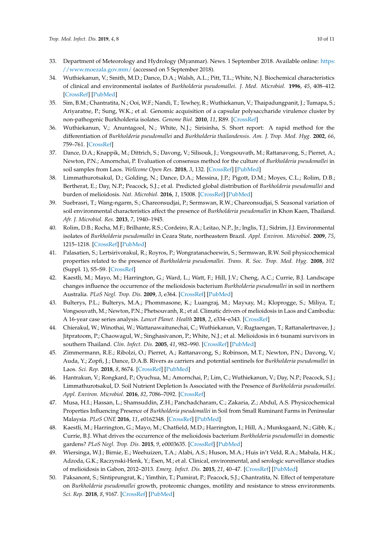- <span id="page-9-0"></span>33. Department of Meteorology and Hydrology (Myanmar). News. 1 September 2018. Available online: [https:](https://www.moezala.gov.mm/) [//www.moezala.gov.mm/](https://www.moezala.gov.mm/) (accessed on 5 September 2018).
- <span id="page-9-1"></span>34. Wuthiekanun, V.; Smith, M.D.; Dance, D.A.; Walsh, A.L.; Pitt, T.L.; White, N.J. Biochemical characteristics of clinical and environmental isolates of *Burkholderia pseudomallei*. *J. Med. Microbiol.* **1996**, *45*, 408–412. [\[CrossRef\]](http://dx.doi.org/10.1099/00222615-45-6-408) [\[PubMed\]](http://www.ncbi.nlm.nih.gov/pubmed/8958243)
- 35. Sim, B.M.; Chantratita, N.; Ooi, W.F.; Nandi, T.; Tewhey, R.; Wuthiekanun, V.; Thaipadungpanit, J.; Tumapa, S.; Ariyaratne, P.; Sung, W.K.; et al. Genomic acquisition of a capsular polysaccharide virulence cluster by non-pathogenic Burkholderia isolates. *Genome Biol.* **2010**, *11*, R89. [\[CrossRef\]](http://dx.doi.org/10.1186/gb-2010-11-8-r89)
- <span id="page-9-2"></span>36. Wuthiekanun, V.; Anuntagool, N.; White, N.J.; Sirisinha, S. Short report: A rapid method for the differentiation of *Burkholderia pseudomallei* and *Burkholderia thailandensis*. *Am. J. Trop. Med. Hyg.* **2002**, *66*, 759–761. [\[CrossRef\]](http://dx.doi.org/10.4269/ajtmh.2002.66.759)
- <span id="page-9-3"></span>37. Dance, D.A.; Knappik, M.; Dittrich, S.; Davong, V.; Silisouk, J.; Vongsouvath, M.; Rattanavong, S.; Pierret, A.; Newton, P.N.; Amornchai, P. Evaluation of consensus method for the culture of *Burkholderia pseudomallei* in soil samples from Laos. *Wellcome Open Res.* **2018**, *3*, 132. [\[CrossRef\]](http://dx.doi.org/10.12688/wellcomeopenres.14851.2) [\[PubMed\]](http://www.ncbi.nlm.nih.gov/pubmed/30569022)
- <span id="page-9-4"></span>38. Limmathurotsakul, D.; Golding, N.; Dance, D.A.; Messina, J.P.; Pigott, D.M.; Moyes, C.L.; Rolim, D.B.; Bertherat, E.; Day, N.P.; Peacock, S.J.; et al. Predicted global distribution of *Burkholderia pseudomallei* and burden of melioidosis. *Nat. Microbiol.* **2016**, *1*, 15008. [\[CrossRef\]](http://dx.doi.org/10.1038/nmicrobiol.2015.8) [\[PubMed\]](http://www.ncbi.nlm.nih.gov/pubmed/27571754)
- <span id="page-9-5"></span>39. Suebrasri, T.; Wang-ngarm, S.; Chareonsudjai, P.; Sermswan, R.W.; Chareonsudjai, S. Seasonal variation of soil environmental characteristics affect the presence of *Burkholderia pseudomallei* in Khon Kaen, Thailand. *Afr. J. Microbiol. Res.* **2013**, *7*, 1940–1945.
- <span id="page-9-6"></span>40. Rolim, D.B.; Rocha, M.F.; Brilhante, R.S.; Cordeiro, R.A.; Leitao, N.P., Jr.; Inglis, T.J.; Sidrim, J.J. Environmental isolates of *Burkholderia pseudomallei* in Ceara State, northeastern Brazil. *Appl. Environ. Microbiol.* **2009**, *75*, 1215–1218. [\[CrossRef\]](http://dx.doi.org/10.1128/AEM.01953-08) [\[PubMed\]](http://www.ncbi.nlm.nih.gov/pubmed/19098219)
- <span id="page-9-7"></span>41. Palasatien, S.; Lertsirivorakul, R.; Royros, P.; Wongratanacheewin, S.; Sermswan, R.W. Soil physicochemical properties related to the presence of *Burkholderia pseudomallei*. *Trans. R. Soc. Trop. Med. Hyg.* **2008**, *102* (Suppl. 1), S5–S9. [\[CrossRef\]](http://dx.doi.org/10.1016/S0035-9203(08)70003-8)
- <span id="page-9-8"></span>42. Kaestli, M.; Mayo, M.; Harrington, G.; Ward, L.; Watt, F.; Hill, J.V.; Cheng, A.C.; Currie, B.J. Landscape changes influence the occurrence of the melioidosis bacterium *Burkholderia pseudomallei* in soil in northern Australia. *PLoS Negl. Trop. Dis.* **2009**, *3*, e364. [\[CrossRef\]](http://dx.doi.org/10.1371/journal.pntd.0000364) [\[PubMed\]](http://www.ncbi.nlm.nih.gov/pubmed/19156200)
- <span id="page-9-9"></span>43. Bulterys, P.L.; Bulterys, M.A.; Phommasone, K.; Luangraj, M.; Mayxay, M.; Kloprogge, S.; Miliya, T.; Vongsouvath, M.; Newton, P.N.; Phetsouvanh, R.; et al. Climatic drivers of melioidosis in Laos and Cambodia: A 16-year case series analysis. *Lancet Planet. Health* **2018**, *2*, e334–e343. [\[CrossRef\]](http://dx.doi.org/10.1016/S2542-5196(18)30172-4)
- 44. Chierakul, W.; Winothai, W.; Wattanawaitunechai, C.; Wuthiekanun, V.; Rugtaengan, T.; Rattanalertnavee, J.; Jitpratoom, P.; Chaowagul, W.; Singhasivanon, P.; White, N.J.; et al. Melioidosis in 6 tsunami survivors in southern Thailand. *Clin. Infect. Dis.* **2005**, *41*, 982–990. [\[CrossRef\]](http://dx.doi.org/10.1086/432942) [\[PubMed\]](http://www.ncbi.nlm.nih.gov/pubmed/16142663)
- <span id="page-9-10"></span>45. Zimmermann, R.E.; Ribolzi, O.; Pierret, A.; Rattanavong, S.; Robinson, M.T.; Newton, P.N.; Davong, V.; Auda, Y.; Zopfi, J.; Dance, D.A.B. Rivers as carriers and potential sentinels for *Burkholderia pseudomallei* in Laos. *Sci. Rep.* **2018**, *8*, 8674. [\[CrossRef\]](http://dx.doi.org/10.1038/s41598-018-26684-y) [\[PubMed\]](http://www.ncbi.nlm.nih.gov/pubmed/29875361)
- <span id="page-9-11"></span>46. Hantrakun, V.; Rongkard, P.; Oyuchua, M.; Amornchai, P.; Lim, C.; Wuthiekanun, V.; Day, N.P.; Peacock, S.J.; Limmathurotsakul, D. Soil Nutrient Depletion Is Associated with the Presence of *Burkholderia pseudomallei*. *Appl. Environ. Microbiol.* **2016**, *82*, 7086–7092. [\[CrossRef\]](http://dx.doi.org/10.1128/AEM.02538-16)
- <span id="page-9-12"></span>47. Musa, H.I.; Hassan, L.; Shamsuddin, Z.H.; Panchadcharam, C.; Zakaria, Z.; Abdul, A.S. Physicochemical Properties Influencing Presence of *Burkholderia pseudomallei* in Soil from Small Ruminant Farms in Peninsular Malaysia. *PLoS ONE* **2016**, *11*, e0162348. [\[CrossRef\]](http://dx.doi.org/10.1371/journal.pone.0162348) [\[PubMed\]](http://www.ncbi.nlm.nih.gov/pubmed/27635652)
- <span id="page-9-13"></span>48. Kaestli, M.; Harrington, G.; Mayo, M.; Chatfield, M.D.; Harrington, I.; Hill, A.; Munksgaard, N.; Gibb, K.; Currie, B.J. What drives the occurrence of the melioidosis bacterium *Burkholderia pseudomallei* in domestic gardens? *PLoS Negl. Trop. Dis.* **2015**, *9*, e0003635. [\[CrossRef\]](http://dx.doi.org/10.1371/journal.pntd.0003635) [\[PubMed\]](http://www.ncbi.nlm.nih.gov/pubmed/25803046)
- <span id="page-9-14"></span>49. Wiersinga, W.J.; Birnie, E.; Weehuizen, T.A.; Alabi, A.S.; Huson, M.A.; Huis in't Veld, R.A.; Mabala, H.K.; Adzoda, G.K.; Raczynski-Henk, Y.; Esen, M.; et al. Clinical, environmental, and serologic surveillance studies of melioidosis in Gabon, 2012–2013. *Emerg. Infect. Dis.* **2015**, *21*, 40–47. [\[CrossRef\]](http://dx.doi.org/10.3201/eid2101.140762) [\[PubMed\]](http://www.ncbi.nlm.nih.gov/pubmed/25530077)
- 50. Paksanont, S.; Sintiprungrat, K.; Yimthin, T.; Pumirat, P.; Peacock, S.J.; Chantratita, N. Effect of temperature on *Burkholderia pseudomallei* growth, proteomic changes, motility and resistance to stress environments. *Sci. Rep.* **2018**, *8*, 9167. [\[CrossRef\]](http://dx.doi.org/10.1038/s41598-018-27356-7) [\[PubMed\]](http://www.ncbi.nlm.nih.gov/pubmed/29907803)